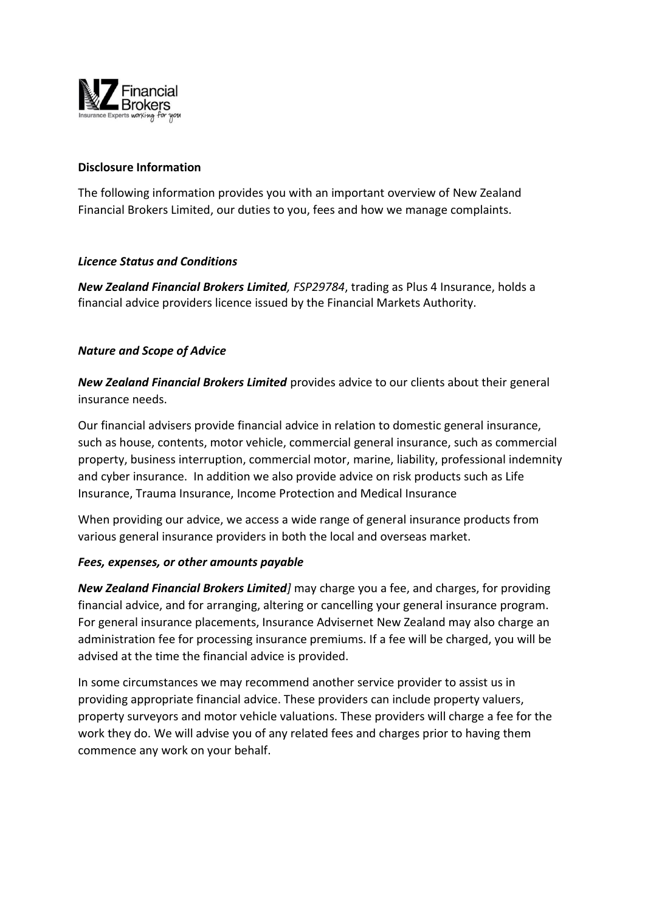

### **Disclosure Information**

The following information provides you with an important overview of New Zealand Financial Brokers Limited, our duties to you, fees and how we manage complaints.

### *Licence Status and Conditions*

*New Zealand Financial Brokers Limited, FSP29784*, trading as Plus 4 Insurance, holds a financial advice providers licence issued by the Financial Markets Authority.

## *Nature and Scope of Advice*

*New Zealand Financial Brokers Limited* provides advice to our clients about their general insurance needs.

Our financial advisers provide financial advice in relation to domestic general insurance, such as house, contents, motor vehicle, commercial general insurance, such as commercial property, business interruption, commercial motor, marine, liability, professional indemnity and cyber insurance. In addition we also provide advice on risk products such as Life Insurance, Trauma Insurance, Income Protection and Medical Insurance

When providing our advice, we access a wide range of general insurance products from various general insurance providers in both the local and overseas market.

#### *Fees, expenses, or other amounts payable*

*New Zealand Financial Brokers Limited]* may charge you a fee, and charges, for providing financial advice, and for arranging, altering or cancelling your general insurance program. For general insurance placements, Insurance Advisernet New Zealand may also charge an administration fee for processing insurance premiums. If a fee will be charged, you will be advised at the time the financial advice is provided.

In some circumstances we may recommend another service provider to assist us in providing appropriate financial advice. These providers can include property valuers, property surveyors and motor vehicle valuations. These providers will charge a fee for the work they do. We will advise you of any related fees and charges prior to having them commence any work on your behalf.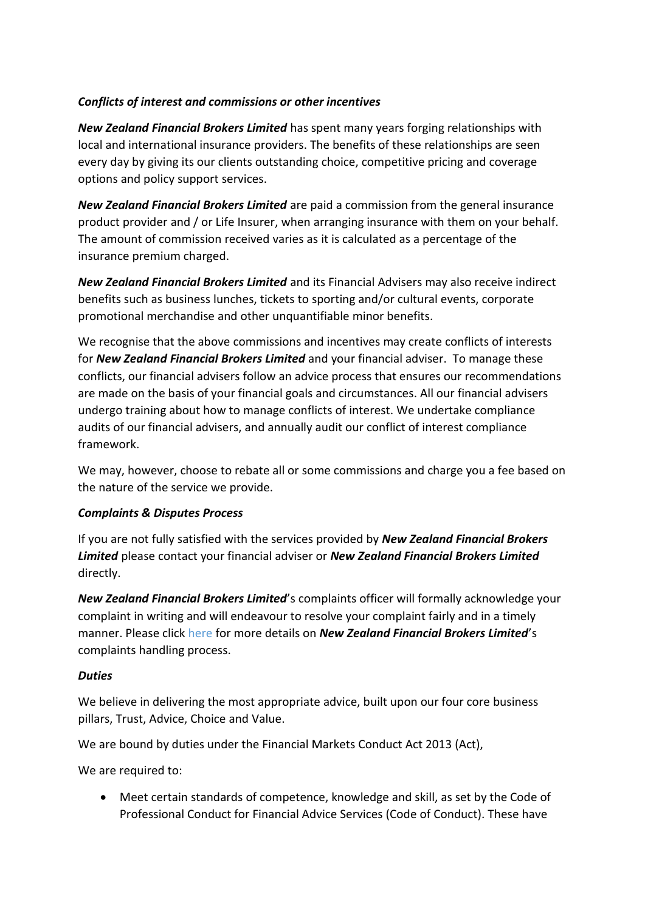# *Conflicts of interest and commissions or other incentives*

*New Zealand Financial Brokers Limited* has spent many years forging relationships with local and international insurance providers. The benefits of these relationships are seen every day by giving its our clients outstanding choice, competitive pricing and coverage options and policy support services.

*New Zealand Financial Brokers Limited* are paid a commission from the general insurance product provider and / or Life Insurer, when arranging insurance with them on your behalf. The amount of commission received varies as it is calculated as a percentage of the insurance premium charged.

*New Zealand Financial Brokers Limited* and its Financial Advisers may also receive indirect benefits such as business lunches, tickets to sporting and/or cultural events, corporate promotional merchandise and other unquantifiable minor benefits.

We recognise that the above commissions and incentives may create conflicts of interests for *New Zealand Financial Brokers Limited* and your financial adviser. To manage these conflicts, our financial advisers follow an advice process that ensures our recommendations are made on the basis of your financial goals and circumstances. All our financial advisers undergo training about how to manage conflicts of interest. We undertake compliance audits of our financial advisers, and annually audit our conflict of interest compliance framework.

We may, however, choose to rebate all or some commissions and charge you a fee based on the nature of the service we provide.

## *Complaints & Disputes Process*

If you are not fully satisfied with the services provided by *New Zealand Financial Brokers Limited* please contact your financial adviser or *New Zealand Financial Brokers Limited* directly.

*New Zealand Financial Brokers Limited*'s complaints officer will formally acknowledge your complaint in writing and will endeavour to resolve your complaint fairly and in a timely manner. Please click here for more details on *New Zealand Financial Brokers Limited*'s complaints handling process.

## *Duties*

We believe in delivering the most appropriate advice, built upon our four core business pillars, Trust, Advice, Choice and Value.

We are bound by duties under the Financial Markets Conduct Act 2013 (Act),

We are required to:

• Meet certain standards of competence, knowledge and skill, as set by the Code of Professional Conduct for Financial Advice Services (Code of Conduct). These have